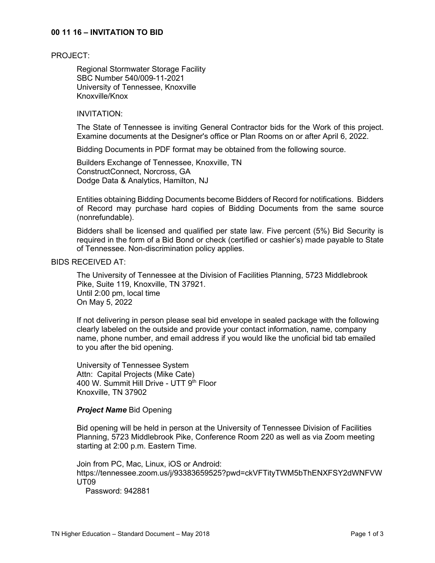## **00 11 16 – INVITATION TO BID**

#### PROJECT:

Regional Stormwater Storage Facility SBC Number 540/009-11-2021 University of Tennessee, Knoxville Knoxville/Knox

## INVITATION:

The State of Tennessee is inviting General Contractor bids for the Work of this project. Examine documents at the Designer's office or Plan Rooms on or after April 6, 2022.

Bidding Documents in PDF format may be obtained from the following source.

Builders Exchange of Tennessee, Knoxville, TN ConstructConnect, Norcross, GA Dodge Data & Analytics, Hamilton, NJ

Entities obtaining Bidding Documents become Bidders of Record for notifications. Bidders of Record may purchase hard copies of Bidding Documents from the same source (nonrefundable).

Bidders shall be licensed and qualified per state law. Five percent (5%) Bid Security is required in the form of a Bid Bond or check (certified or cashier's) made payable to State of Tennessee. Non-discrimination policy applies.

# BIDS RECEIVED AT:

The University of Tennessee at the Division of Facilities Planning, 5723 Middlebrook Pike, Suite 119, Knoxville, TN 37921. Until 2:00 pm, local time On May 5, 2022

If not delivering in person please seal bid envelope in sealed package with the following clearly labeled on the outside and provide your contact information, name, company name, phone number, and email address if you would like the unoficial bid tab emailed to you after the bid opening.

University of Tennessee System Attn: Capital Projects (Mike Cate) 400 W. Summit Hill Drive - UTT 9<sup>th</sup> Floor Knoxville, TN 37902

#### *Project Name* Bid Opening

Bid opening will be held in person at the University of Tennessee Division of Facilities Planning, 5723 Middlebrook Pike, Conference Room 220 as well as via Zoom meeting starting at 2:00 p.m. Eastern Time.

Join from PC, Mac, Linux, iOS or Android: https://tennessee.zoom.us/j/93383659525?pwd=ckVFTityTWM5bThENXFSY2dWNFVW UT09

Password: 942881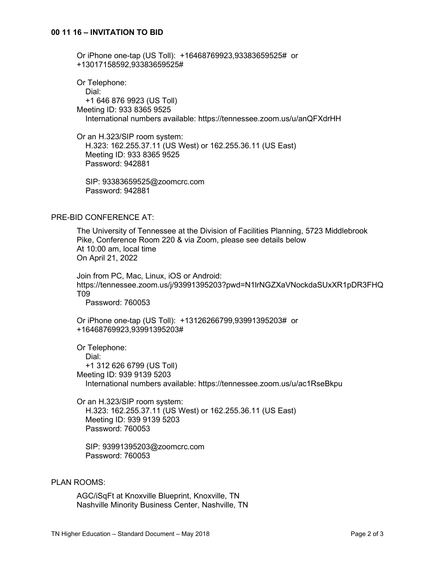Or iPhone one-tap (US Toll): +16468769923,93383659525# or +13017158592,93383659525#

Or Telephone: Dial: +1 646 876 9923 (US Toll) Meeting ID: 933 8365 9525 International numbers available: https://tennessee.zoom.us/u/anQFXdrHH

Or an H.323/SIP room system: H.323: 162.255.37.11 (US West) or 162.255.36.11 (US East) Meeting ID: 933 8365 9525 Password: 942881

 SIP: 93383659525@zoomcrc.com Password: 942881

# PRE-BID CONFERENCE AT:

The University of Tennessee at the Division of Facilities Planning, 5723 Middlebrook Pike, Conference Room 220 & via Zoom, please see details below At 10:00 am, local time On April 21, 2022

Join from PC, Mac, Linux, iOS or Android: https://tennessee.zoom.us/j/93991395203?pwd=N1lrNGZXaVNockdaSUxXR1pDR3FHQ T09

Password: 760053

Or iPhone one-tap (US Toll): +13126266799,93991395203# or +16468769923,93991395203#

Or Telephone: Dial: +1 312 626 6799 (US Toll) Meeting ID: 939 9139 5203 International numbers available: https://tennessee.zoom.us/u/ac1RseBkpu

Or an H.323/SIP room system: H.323: 162.255.37.11 (US West) or 162.255.36.11 (US East) Meeting ID: 939 9139 5203 Password: 760053

 SIP: 93991395203@zoomcrc.com Password: 760053

## PLAN ROOMS:

AGC/iSqFt at Knoxville Blueprint, Knoxville, TN Nashville Minority Business Center, Nashville, TN